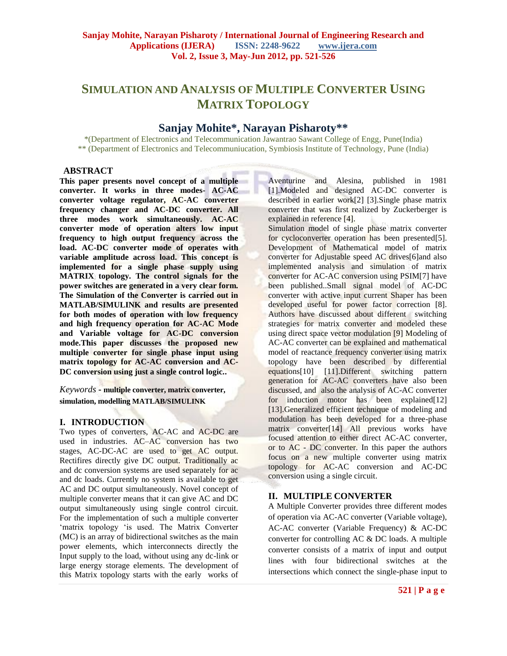# **SIMULATION AND ANALYSIS OF MULTIPLE CONVERTER USING MATRIX TOPOLOGY**

## **Sanjay Mohite\*, Narayan Pisharoty\*\***

\*(Department of Electronics and Telecommunication Jawantrao Sawant College of Engg, Pune(India) \*\* (Department of Electronics and Telecommuniucation, Symbiosis Institute of Technology, Pune (India)

#### **ABSTRACT**

**This paper presents novel concept of a multiple converter. It works in three modes- AC-AC converter voltage regulator, AC-AC converter frequency changer and AC-DC converter. All three modes work simultaneously. AC-AC converter mode of operation alters low input frequency to high output frequency across the load. AC-DC converter mode of operates with variable amplitude across load. This concept is implemented for a single phase supply using MATRIX topology. The control signals for the power switches are generated in a very clear form. The Simulation of the Converter is carried out in MATLAB/SIMULINK and results are presented for both modes of operation with low frequency and high frequency operation for AC-AC Mode and Variable voltage for AC-DC conversion mode.This paper discusses the proposed new multiple converter for single phase input using matrix topology for AC-AC conversion and AC-DC conversion using just a single control logic..** 

*Keywords* **- multiple converter, matrix converter, simulation, modelling MATLAB/SIMULINK**

#### **I. INTRODUCTION**

Two types of converters, AC-AC and AC-DC are used in industries. AC–AC conversion has two stages, AC-DC-AC are used to get AC output. Rectifires directly give DC output. Traditionally ac and dc conversion systems are used separately for ac and dc loads. Currently no system is available to get AC and DC output simultaneously. Novel concept of multiple converter means that it can give AC and DC output simultaneously using single control circuit. For the implementation of such a multiple converter 'matrix topology 'is used. The Matrix Converter (MC) is an array of bidirectional switches as the main power elements, which interconnects directly the Input supply to the load, without using any dc-link or large energy storage elements. The development of this Matrix topology starts with the early works of

Aventurine and Alesina, published in 1981 [1].Modeled and designed AC-DC converter is described in earlier work[2] [3].Single phase matrix converter that was first realized by Zuckerberger is explained in reference [4].

Simulation model of single phase matrix converter for cycloconverter operation has been presented[5]. Development of Mathematical model of matrix converter for Adjustable speed AC drives[6]and also implemented analysis and simulation of matrix converter for AC-AC conversion using PSIM[7] have been published..Small signal model of AC-DC converter with active input current Shaper has been developed useful for power factor correction [8]. Authors have discussed about different switching strategies for matrix converter and modeled these using direct space vector modulation [9] Modeling of AC-AC converter can be explained and mathematical model of reactance frequency converter using matrix topology have been described by differential equations[10] [11].Different switching pattern generation for AC-AC converters have also been discussed, and also the analysis of AC-AC converter for induction motor has been explained[12] [13].Generalized efficient technique of modeling and modulation has been developed for a three-phase matrix converter[14] All previous works have focused attention to either direct AC-AC converter, or to AC - DC converter. In this paper the authors focus on a new multiple converter using matrix topology for AC-AC conversion and AC-DC conversion using a single circuit.

## **II. MULTIPLE CONVERTER**

A Multiple Converter provides three different modes of operation via AC-AC converter (Variable voltage), AC-AC converter (Variable Frequency) & AC-DC converter for controlling AC & DC loads. A multiple converter consists of a matrix of input and output lines with four bidirectional switches at the intersections which connect the single-phase input to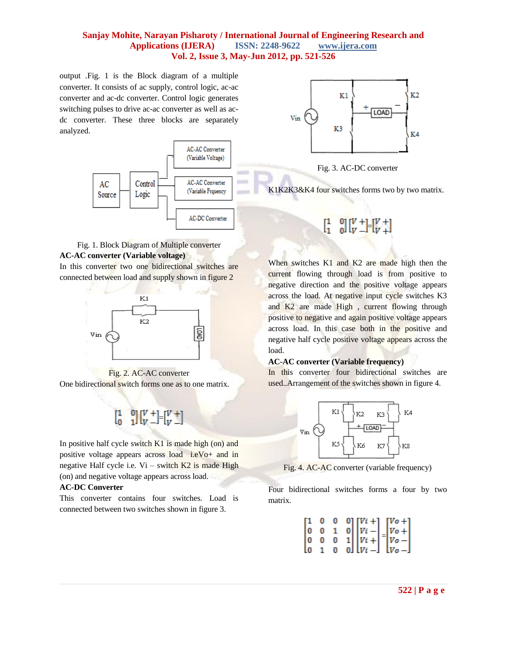output .Fig. 1 is the Block diagram of a multiple converter. It consists of ac supply, control logic, ac-ac converter and ac-dc converter. Control logic generates switching pulses to drive ac-ac converter as well as acdc converter. These three blocks are separately analyzed.



## Fig. 1. Block Diagram of Multiple converter **AC-AC converter (Variable voltage)**  In this converter two one bidirectional switches are connected between load and supply shown in figure 2





One bidirectional switch forms one as to one matrix.

$$
\begin{bmatrix} 1 & 0 \\ 0 & 1 \end{bmatrix} \begin{bmatrix} V \\ V \end{bmatrix} = \begin{bmatrix} V \\ V \end{bmatrix}
$$

In positive half cycle switch  $K1$  is made high (on) and positive voltage appears across load i.eVo+ and in negative Half cycle i.e.  $Vi -$  switch  $K2$  is made High (on) and negative voltage appears across load.

#### **AC-DC Converter**

This converter contains four switches. Load is connected between two switches shown in figure 3.



Fig. 3. AC-DC converter

K1K2K3&K4 four switches forms two by two matrix.

$$
\left[ \begin{smallmatrix} 1 & 0 \\ 1 & 0 \end{smallmatrix} \right] \left[ \begin{smallmatrix} V & + \\ V & - \end{smallmatrix} \right] = \left[ \begin{smallmatrix} V & + \\ V & + \end{smallmatrix} \right]
$$

When switches K1 and K2 are made high then the current flowing through load is from positive to negative direction and the positive voltage appears across the load. At negative input cycle switches K3 and K2 are made High , current flowing through positive to negative and again positive voltage appears across load. In this case both in the positive and negative half cycle positive voltage appears across the load.

#### **AC-AC converter (Variable frequency)**

In this converter four bidirectional switches are used..Arrangement of the switches shown in figure 4.



Fig. 4. AC-AC converter (variable frequency)

Four bidirectional switches forms a four by two matrix.

$$
\begin{bmatrix} 1 & 0 & 0 & 0 \\ 0 & 0 & 1 & 0 \\ 0 & 0 & 0 & 1 \\ 0 & 1 & 0 & 0 \end{bmatrix} \begin{bmatrix} Vi + \\ Vi - \\ Vi + \\ Vi + \\ Vi - \end{bmatrix} = \begin{bmatrix} Vo + \\ Vo + \\ Vo - \\ Vo - \end{bmatrix}
$$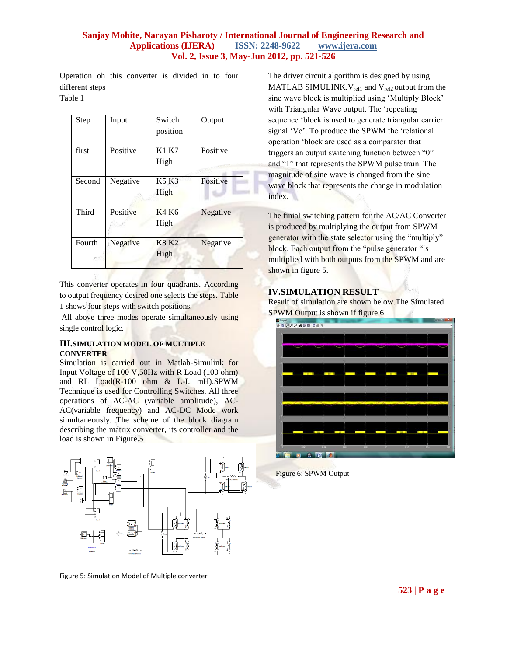Operation oh this converter is divided in to four different steps

Table 1

| Step   | Input    | Switch<br>position   | Output   |
|--------|----------|----------------------|----------|
| first  | Positive | <b>K1 K7</b><br>High | Positive |
| Second | Negative | <b>K5 K3</b><br>High | Positive |
| Third  | Positive | K4 K6<br>High        | Negative |
| Fourth | Negative | <b>K8 K2</b><br>High | Negative |

This converter operates in four quadrants. According to output frequency desired one selects the steps. Table 1 shows four steps with switch positions.

All above three modes operate simultaneously using single control logic.

## **III.SIMULATION MODEL OF MULTIPLE CONVERTER**

Simulation is carried out in Matlab-Simulink for Input Voltage of 100 V,50Hz with R Load (100 ohm) and RL Load(R-100 ohm & L-I. mH).SPWM Technique is used for Controlling Switches. All three operations of AC-AC (variable amplitude), AC-AC(variable frequency) and AC-DC Mode work simultaneously. The scheme of the block diagram describing the matrix converter, its controller and the load is shown in Figure.5



Figure 5: Simulation Model of Multiple converter

The driver circuit algorithm is designed by using MATLAB SIMULINK.  $V_{ref1}$  and  $V_{ref2}$  output from the sine wave block is multiplied using "Multiply Block" with Triangular Wave output. The "repeating sequence "block is used to generate triangular carrier signal "Vc". To produce the SPWM the "relational operation "block are used as a comparator that triggers an output switching function between "0" and "1" that represents the SPWM pulse train. The magnitude of sine wave is changed from the sine wave block that represents the change in modulation index.

The finial switching pattern for the AC/AC Converter is produced by multiplying the output from SPWM generator with the state selector using the "multiply" block. Each output from the "pulse generator "is multiplied with both outputs from the SPWM and are shown in figure 5.

## **IV.SIMULATION RESULT**

Result of simulation are shown below.The Simulated SPWM Output is shown if figure 6



Figure 6: SPWM Output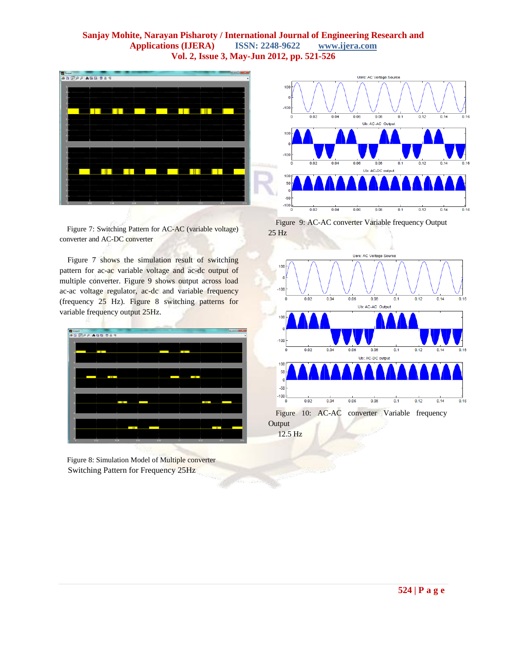

Figure 7: Switching Pattern for AC-AC (variable voltage) converter and AC-DC converter

Figure 7 shows the simulation result of switching pattern for ac-ac variable voltage and ac-dc output of multiple converter. Figure 9 shows output across load ac-ac voltage regulator, ac-dc and variable frequency (frequency 25 Hz). Figure 8 switching patterns for variable frequency output 25Hz.



Figure 8: Simulation Model of Multiple converter Switching Pattern for Frequency 25Hz



Figure 9: AC-AC converter Variable frequency Output 25 Hz



12.5 Hz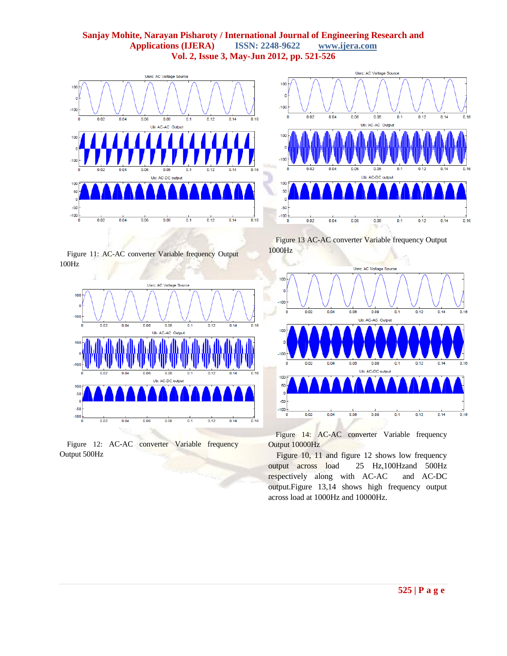



Figure 11: AC-AC converter Variable frequency Output 100Hz



Figure 12: AC-AC converter Variable frequency Output 500Hz

Figure 13 AC-AC converter Variable frequency Output 1000Hz



Figure 14: AC-AC converter Variable frequency Output 10000Hz

Figure 10, 11 and figure 12 shows low frequency output across load 25 Hz,100Hzand 500Hz respectively along with AC-AC and AC-DC output.Figure 13,14 shows high frequency output across load at 1000Hz and 10000Hz.